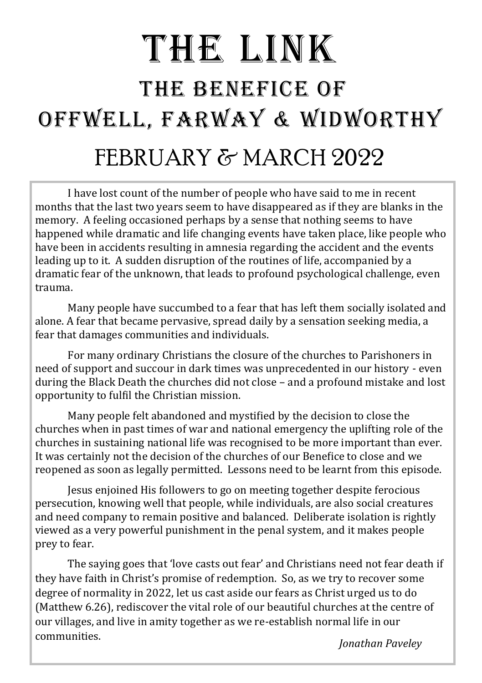# THE LINK THE BENEFICE OF OFFWELL, FARWAY & WIDWORTHY FEBRUARY & MARCH 2022

I have lost count of the number of people who have said to me in recent months that the last two years seem to have disappeared as if they are blanks in the memory. A feeling occasioned perhaps by a sense that nothing seems to have happened while dramatic and life changing events have taken place, like people who have been in accidents resulting in amnesia regarding the accident and the events leading up to it. A sudden disruption of the routines of life, accompanied by a dramatic fear of the unknown, that leads to profound psychological challenge, even trauma.

Many people have succumbed to a fear that has left them socially isolated and alone. A fear that became pervasive, spread daily by a sensation seeking media, a fear that damages communities and individuals.

For many ordinary Christians the closure of the churches to Parishoners in need of support and succour in dark times was unprecedented in our history - even during the Black Death the churches did not close – and a profound mistake and lost opportunity to fulfil the Christian mission.

Many people felt abandoned and mystified by the decision to close the churches when in past times of war and national emergency the uplifting role of the churches in sustaining national life was recognised to be more important than ever. It was certainly not the decision of the churches of our Benefice to close and we reopened as soon as legally permitted. Lessons need to be learnt from this episode.

Jesus enjoined His followers to go on meeting together despite ferocious persecution, knowing well that people, while individuals, are also social creatures and need company to remain positive and balanced. Deliberate isolation is rightly viewed as a very powerful punishment in the penal system, and it makes people prey to fear.

The saying goes that 'love casts out fear' and Christians need not fear death if they have faith in Christ's promise of redemption. So, as we try to recover some degree of normality in 2022, let us cast aside our fears as Christ urged us to do (Matthew 6.26), rediscover the vital role of our beautiful churches at the centre of our villages, and live in amity together as we re-establish normal life in our communities. *Jonathan Paveley*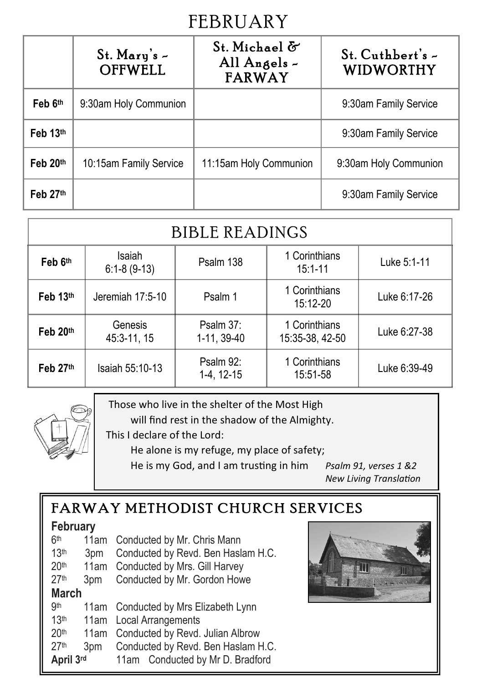## **FEBRUARY**

|          | $St.$ Mary's $-$<br><b>OFFWELL</b> | St. Michael &<br>All Angels -<br><b>FARWAY</b> | $St.$ Cuthbert's $\sim$<br><b>WIDWORTHY</b> |
|----------|------------------------------------|------------------------------------------------|---------------------------------------------|
| Feb 6th  | 9:30am Holy Communion              |                                                | 9:30am Family Service                       |
| Feb 13th |                                    |                                                | 9:30am Family Service                       |
| Feb 20th | 10:15am Family Service             | 11:15am Holy Communion                         | 9:30am Holy Communion                       |
| Feb 27th |                                    |                                                | 9:30am Family Service                       |

| <b>BIBLE READINGS</b> |                         |                            |                                  |              |
|-----------------------|-------------------------|----------------------------|----------------------------------|--------------|
| Feb 6th               | Isaiah<br>$6:1-8(9-13)$ | Psalm 138                  | 1 Corinthians<br>$15:1 - 11$     | Luke 5:1-11  |
| Feb 13th              | Jeremiah 17:5-10        | Psalm 1                    | 1 Corinthians<br>15:12-20        | Luke 6:17-26 |
| Feb $20th$            | Genesis<br>45:3-11, 15  | Psalm $37:$<br>1-11, 39-40 | 1 Corinthians<br>15:35-38, 42-50 | Luke 6:27-38 |
| Feb 27th              | Isaiah 55:10-13         | Psalm 92:<br>1-4, 12-15    | 1 Corinthians<br>15:51-58        | Luke 6:39-49 |



Those who live in the shelter of the Most High

will find rest in the shadow of the Almighty.

This I declare of the Lord:

He alone is my refuge, my place of safety;

He is my God, and I am trusting in him *Psalm 91, verses 1 &2*

*New Living Translation* 

### FARWAY METHODIST CHURCH SERVICES

#### **February**

| 6 <sup>th</sup>  |                 | 11am Conducted by Mr. Chris Mann      |  |  |
|------------------|-----------------|---------------------------------------|--|--|
| 13 <sup>th</sup> | 3 <sub>pm</sub> | Conducted by Revd. Ben Haslam H.C.    |  |  |
| 20 <sup>th</sup> |                 | 11am Conducted by Mrs. Gill Harvey    |  |  |
| 27 <sup>th</sup> | 3 <sub>pm</sub> | Conducted by Mr. Gordon Howe          |  |  |
| <b>March</b>     |                 |                                       |  |  |
| <b>9th</b>       |                 | 11am Conducted by Mrs Elizabeth Lynn  |  |  |
| 13 <sup>th</sup> |                 | 11am Local Arrangements               |  |  |
| 20 <sup>th</sup> |                 | 11am Conducted by Revd. Julian Albrow |  |  |
| 27th             | 3pm             | Conducted by Revd. Ben Haslam H.C.    |  |  |
| April 3rd        |                 | 11am Conducted by Mr D. Bradford      |  |  |

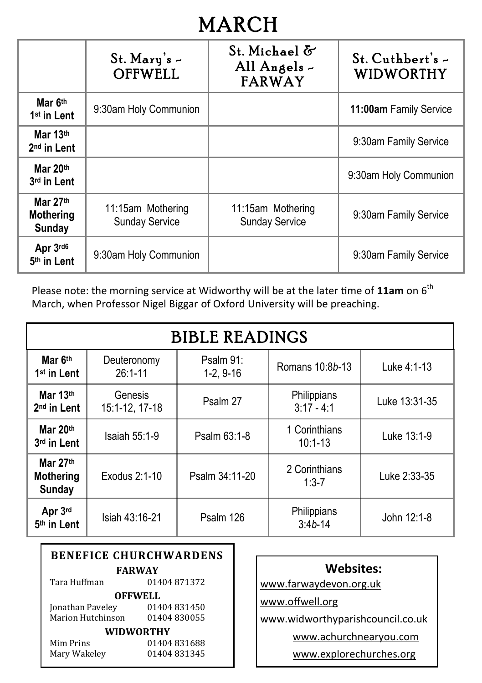## **MARCH**

|                                          | $St.$ Mary's $-$<br><b>OFFWELL</b>         | St. Michael &<br>All Angels -<br><b>FARWAY</b> | $St.$ Cuthbert's $-$<br>WIDWORTHY |
|------------------------------------------|--------------------------------------------|------------------------------------------------|-----------------------------------|
| Mar 6th<br>1 <sup>st</sup> in Lent       | 9:30am Holy Communion                      |                                                | 11:00am Family Service            |
| Mar 13th<br>2 <sup>nd</sup> in Lent      |                                            |                                                | 9:30am Family Service             |
| Mar 20th<br>3rd in Lent                  |                                            |                                                | 9:30am Holy Communion             |
| Mar $27th$<br><b>Mothering</b><br>Sunday | 11:15am Mothering<br><b>Sunday Service</b> | 11:15am Mothering<br><b>Sunday Service</b>     | 9:30am Family Service             |
| Apr 3rd6<br>5th in Lent                  | 9:30am Holy Communion                      |                                                | 9:30am Family Service             |

Please note: the morning service at Widworthy will be at the later time of 11am on 6<sup>th</sup> March, when Professor Nigel Biggar of Oxford University will be preaching.

| <b>BIBLE READINGS</b>                  |                            |                          |                              |               |
|----------------------------------------|----------------------------|--------------------------|------------------------------|---------------|
| Mar 6th<br>1 <sup>st</sup> in Lent     | Deuteronomy<br>$26:1 - 11$ | Psalm 91:<br>$1-2, 9-16$ | Romans 10:8b-13              | Luke 4:1-13   |
| Mar 13th<br>2 <sup>nd</sup> in Lent    | Genesis<br>15:1-12, 17-18  | Psalm 27                 | Philippians<br>$3:17 - 4:1$  | Luke 13:31-35 |
| Mar 20th<br>3rd in Lent                | Isaiah 55:1-9              | Psalm 63:1-8             | 1 Corinthians<br>$10:1 - 13$ | Luke 13:1-9   |
| Mar 27th<br>Mothering<br><b>Sunday</b> | Exodus 2:1-10              | Psalm 34:11-20           | 2 Corinthians<br>$1:3 - 7$   | Luke 2:33-35  |
| Apr 3rd<br>5th in Lent                 | Isiah 43:16-21             | Psalm 126                | Philippians<br>$3:4b-14$     | John 12:1-8   |

| <b>BENEFICE CHURCHWARDENS</b> |             |  |  |
|-------------------------------|-------------|--|--|
| <b>FARWAY</b>                 |             |  |  |
| Tara Huffman                  | 01404871372 |  |  |
| <b>OFFWELL</b>                |             |  |  |
| Jonathan Paveley              | 01404831450 |  |  |
| Marion Hutchinson             | 01404830055 |  |  |
| <b>WIDWORTHY</b>              |             |  |  |
| Mim Prins                     | 01404831688 |  |  |
| Mary Wakeley                  | 01404831345 |  |  |

| <b>Websites:</b>                 |
|----------------------------------|
| www.farwaydevon.org.uk           |
| www.offwell.org                  |
| www.widworthyparishcouncil.co.uk |
| www.achurchnearyou.com           |

www.explorechurches.org